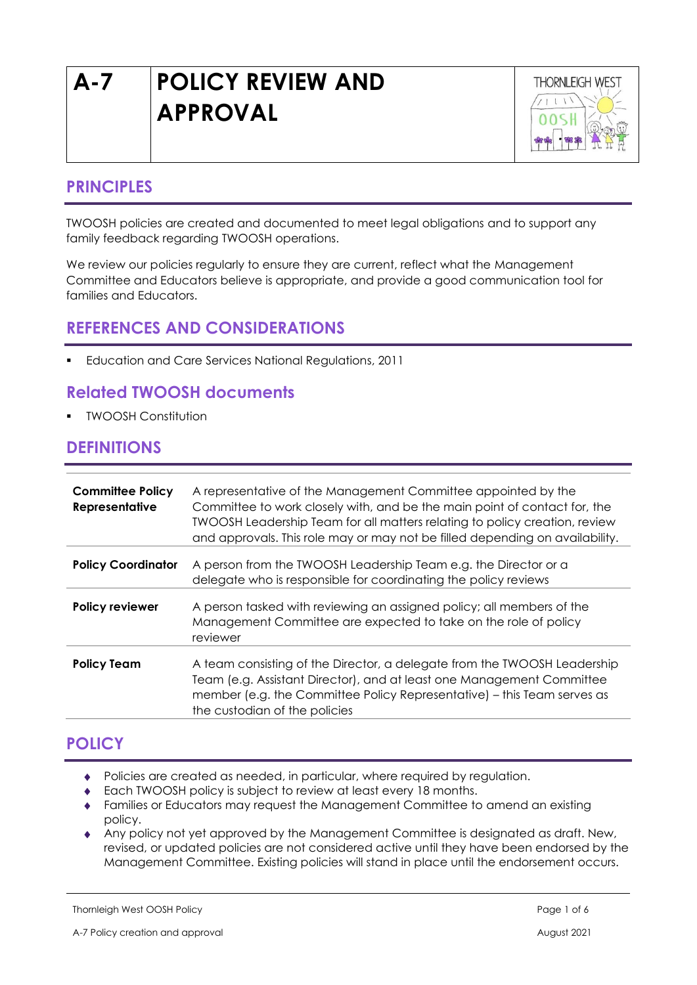# **A-7 POLICY REVIEW AND APPROVAL**



# **PRINCIPLES**

TWOOSH policies are created and documented to meet legal obligations and to support any family feedback regarding TWOOSH operations.

We review our policies regularly to ensure they are current, reflect what the Management Committee and Educators believe is appropriate, and provide a good communication tool for families and Educators.

# **REFERENCES AND CONSIDERATIONS**

**Education and Care Services National Regulations, 2011** 

# **Related TWOOSH documents**

▪ TWOOSH Constitution

# **DEFINITIONS**

| <b>Committee Policy</b><br>Representative | A representative of the Management Committee appointed by the<br>Committee to work closely with, and be the main point of contact for, the<br><b>TWOOSH Leadership Team for all matters relating to policy creation, review</b><br>and approvals. This role may or may not be filled depending on availability. |
|-------------------------------------------|-----------------------------------------------------------------------------------------------------------------------------------------------------------------------------------------------------------------------------------------------------------------------------------------------------------------|
| <b>Policy Coordinator</b>                 | A person from the TWOOSH Leadership Team e.g. the Director or a<br>delegate who is responsible for coordinating the policy reviews                                                                                                                                                                              |
| <b>Policy reviewer</b>                    | A person tasked with reviewing an assigned policy; all members of the<br>Management Committee are expected to take on the role of policy<br>reviewer                                                                                                                                                            |
| <b>Policy Team</b>                        | A team consisting of the Director, a delegate from the TWOOSH Leadership<br>Team (e.g. Assistant Director), and at least one Management Committee<br>member (e.g. the Committee Policy Representative) – this Team serves as<br>the custodian of the policies                                                   |

# **POLICY**

- Policies are created as needed, in particular, where required by regulation.
- ◆ Each TWOOSH policy is subject to review at least every 18 months.
- Families or Educators may request the Management Committee to amend an existing policy.
- Any policy not yet approved by the Management Committee is designated as draft. New, revised, or updated policies are not considered active until they have been endorsed by the Management Committee. Existing policies will stand in place until the endorsement occurs.

Thornleigh West OOSH Policy Page 1 of 6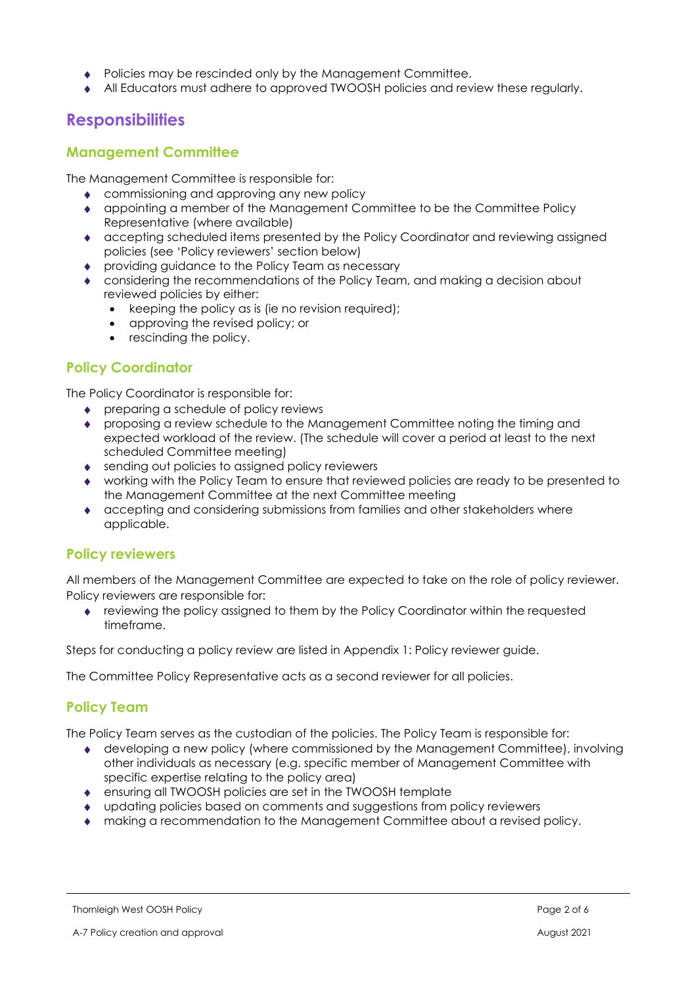- ◆ Policies may be rescinded only by the Management Committee.
- All Educators must adhere to approved TWOOSH policies and review these regularly.

# **Responsibilities**

### **Management Committee**

The Management Committee is responsible for:

- ◆ commissioning and approving any new policy
- appointing a member of the Management Committee to be the Committee Policy Representative (where available)
- accepting scheduled items presented by the Policy Coordinator and reviewing assigned policies (see 'Policy reviewers' section below)
- providing guidance to the Policy Team as necessary
- considering the recommendations of the Policy Team, and making a decision about reviewed policies by either:
	- keeping the policy as is (ie no revision required);
	- approving the revised policy; or
	- rescinding the policy.

### **Policy Coordinator**

The Policy Coordinator is responsible for:

- **•** preparing a schedule of policy reviews
- proposing a review schedule to the Management Committee noting the timing and expected workload of the review. (The schedule will cover a period at least to the next scheduled Committee meeting)
- sending out policies to assigned policy reviewers
- working with the Policy Team to ensure that reviewed policies are ready to be presented to the Management Committee at the next Committee meeting
- accepting and considering submissions from families and other stakeholders where applicable.

### **Policy reviewers**

All members of the Management Committee are expected to take on the role of policy reviewer. Policy reviewers are responsible for:

 reviewing the policy assigned to them by the Policy Coordinator within the requested timeframe.

Steps for conducting a policy review are listed in Appendix 1: Policy reviewer guide.

The Committee Policy Representative acts as a second reviewer for all policies.

### **Policy Team**

The Policy Team serves as the custodian of the policies. The Policy Team is responsible for:

- developing a new policy (where commissioned by the Management Committee), involving other individuals as necessary (e.g. specific member of Management Committee with specific expertise relating to the policy area)
- ensuring all TWOOSH policies are set in the TWOOSH template
- updating policies based on comments and suggestions from policy reviewers
- making a recommendation to the Management Committee about a revised policy.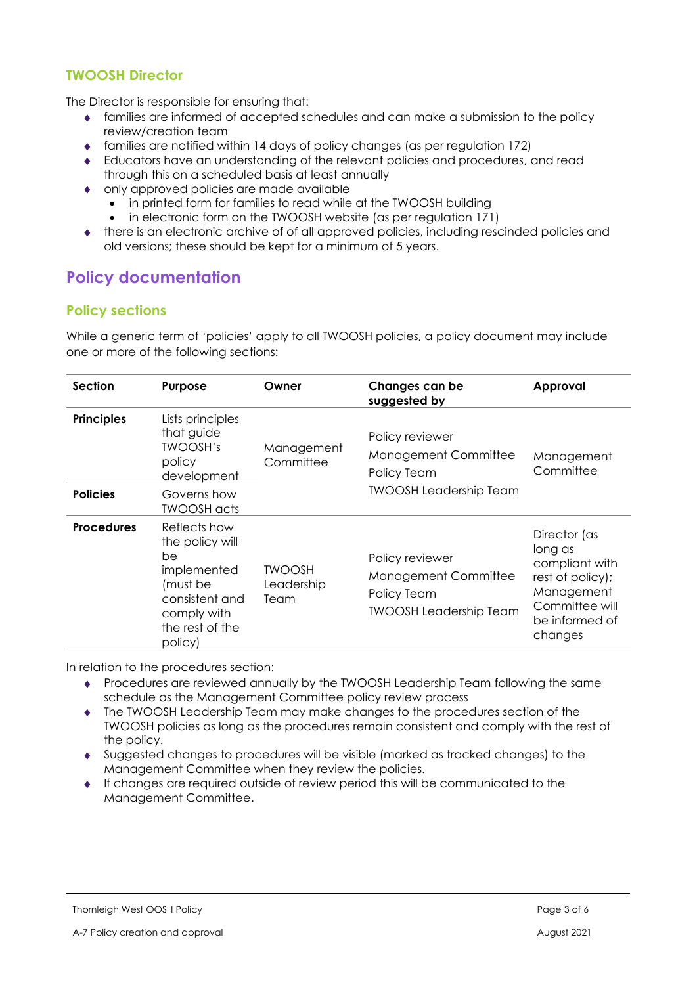### **TWOOSH Director**

The Director is responsible for ensuring that:

- families are informed of accepted schedules and can make a submission to the policy review/creation team
- families are notified within 14 days of policy changes (as per regulation 172)
- Educators have an understanding of the relevant policies and procedures, and read through this on a scheduled basis at least annually
- only approved policies are made available
	- in printed form for families to read while at the TWOOSH building
	- in electronic form on the TWOOSH website (as per regulation 171)
- there is an electronic archive of of all approved policies, including rescinded policies and old versions; these should be kept for a minimum of 5 years.

# **Policy documentation**

### **Policy sections**

While a generic term of 'policies' apply to all TWOOSH policies, a policy document may include one or more of the following sections:

| <b>Section</b>    | <b>Purpose</b>                                                                                                                  | Owner                               | Changes can be<br>suggested by                                                          | Approval                                                                                                                   |
|-------------------|---------------------------------------------------------------------------------------------------------------------------------|-------------------------------------|-----------------------------------------------------------------------------------------|----------------------------------------------------------------------------------------------------------------------------|
| <b>Principles</b> | Lists principles<br>that guide<br><b>TWOOSH's</b><br>policy<br>development                                                      | Management<br>Committee             | Policy reviewer<br>Management Committee<br>Policy Team                                  | Management<br>Committee                                                                                                    |
| <b>Policies</b>   | Governs how<br><b>TWOOSH</b> acts                                                                                               |                                     | <b>TWOOSH Leadership Team</b>                                                           |                                                                                                                            |
| <b>Procedures</b> | Reflects how<br>the policy will<br>be<br>implemented<br>(must be<br>consistent and<br>comply with<br>the rest of the<br>policy) | <b>TWOOSH</b><br>Leadership<br>Team | Policy reviewer<br>Management Committee<br>Policy Team<br><b>TWOOSH Leadership Team</b> | Director (as<br>long as<br>compliant with<br>rest of policy);<br>Management<br>Committee will<br>be informed of<br>changes |

In relation to the procedures section:

- Procedures are reviewed annually by the TWOOSH Leadership Team following the same schedule as the Management Committee policy review process
- The TWOOSH Leadership Team may make changes to the procedures section of the TWOOSH policies as long as the procedures remain consistent and comply with the rest of the policy.
- Suggested changes to procedures will be visible (marked as tracked changes) to the Management Committee when they review the policies.
- If changes are required outside of review period this will be communicated to the Management Committee.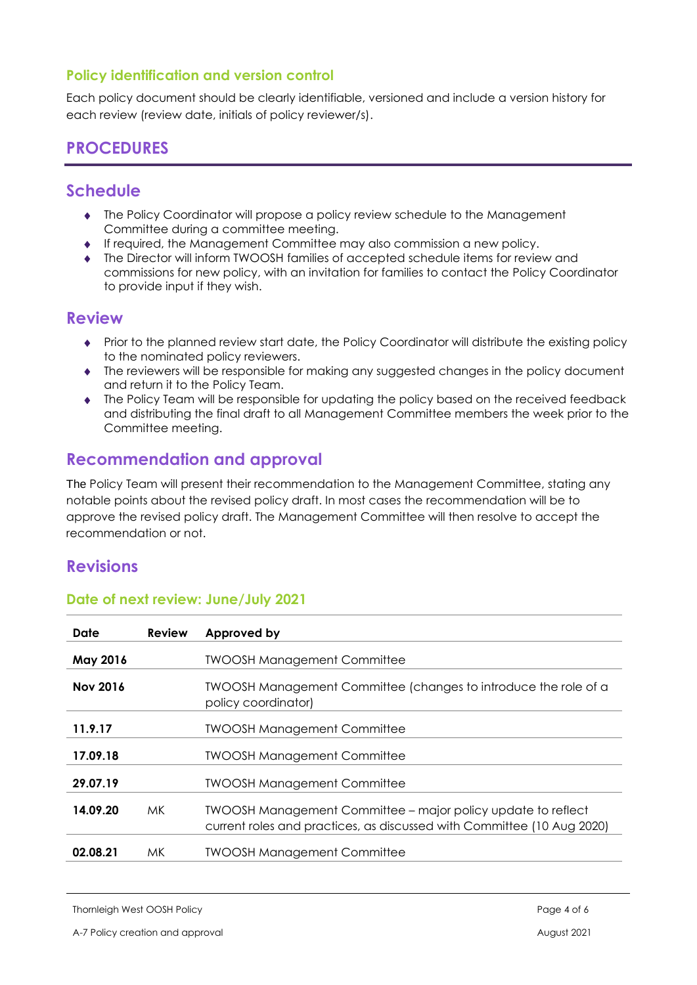### **Policy identification and version control**

Each policy document should be clearly identifiable, versioned and include a version history for each review (review date, initials of policy reviewer/s).

# **PROCEDURES**

# **Schedule**

- The Policy Coordinator will propose a policy review schedule to the Management Committee during a committee meeting.
- If required, the Management Committee may also commission a new policy.
- The Director will inform TWOOSH families of accepted schedule items for review and commissions for new policy, with an invitation for families to contact the Policy Coordinator to provide input if they wish.

### **Review**

- Prior to the planned review start date, the Policy Coordinator will distribute the existing policy to the nominated policy reviewers.
- The reviewers will be responsible for making any suggested changes in the policy document and return it to the Policy Team.
- The Policy Team will be responsible for updating the policy based on the received feedback and distributing the final draft to all Management Committee members the week prior to the Committee meeting.

# **Recommendation and approval**

The Policy Team will present their recommendation to the Management Committee, stating any notable points about the revised policy draft. In most cases the recommendation will be to approve the revised policy draft. The Management Committee will then resolve to accept the recommendation or not.

### **Revisions**

### **Date of next review: June/July 2021**

| Date     | <b>Review</b> | Approved by                                                                                                                            |
|----------|---------------|----------------------------------------------------------------------------------------------------------------------------------------|
| May 2016 |               | <b>TWOOSH Management Committee</b>                                                                                                     |
| Nov 2016 |               | <b>TWOOSH Management Committee (changes to introduce the role of a</b><br>policy coordinator)                                          |
| 11.9.17  |               | <b>TWOOSH Management Committee</b>                                                                                                     |
| 17.09.18 |               | <b>TWOOSH Management Committee</b>                                                                                                     |
| 29.07.19 |               | <b>TWOOSH Management Committee</b>                                                                                                     |
| 14.09.20 | <b>MK</b>     | TWOOSH Management Committee – major policy update to reflect<br>current roles and practices, as discussed with Committee (10 Aug 2020) |
| 02.08.21 | МK            | <b>TWOOSH Management Committee</b>                                                                                                     |

Thornleigh West OOSH Policy Page 4 of 6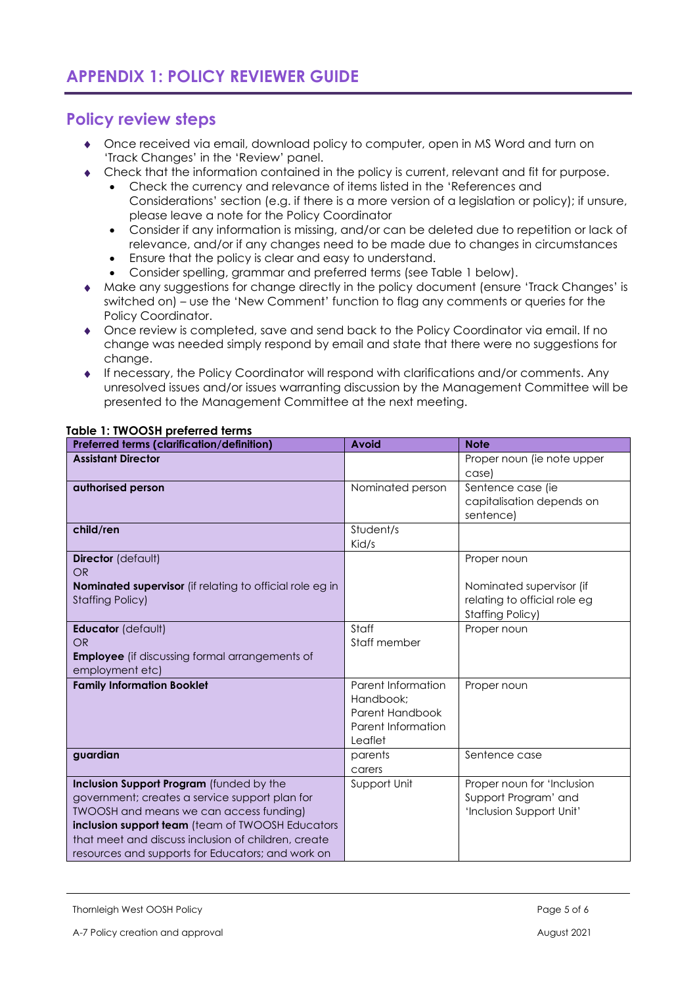### **Policy review steps**

- Once received via email, download policy to computer, open in MS Word and turn on 'Track Changes' in the 'Review' panel.
- Check that the information contained in the policy is current, relevant and fit for purpose.
	- Check the currency and relevance of items listed in the 'References and Considerations' section (e.g. if there is a more version of a legislation or policy); if unsure, please leave a note for the Policy Coordinator
	- Consider if any information is missing, and/or can be deleted due to repetition or lack of relevance, and/or if any changes need to be made due to changes in circumstances
	- Ensure that the policy is clear and easy to understand.
	- Consider spelling, grammar and preferred terms (see Table 1 below).
- Make any suggestions for change directly in the policy document (ensure 'Track Changes' is switched on) – use the 'New Comment' function to flag any comments or queries for the Policy Coordinator.
- Once review is completed, save and send back to the Policy Coordinator via email. If no change was needed simply respond by email and state that there were no suggestions for change.
- If necessary, the Policy Coordinator will respond with clarifications and/or comments. Any unresolved issues and/or issues warranting discussion by the Management Committee will be presented to the Management Committee at the next meeting.

| <b>Preferred terms (clarification/definition)</b>                                                                                                                                                                                                                                                            | <b>Avoid</b>                                                                        | <b>Note</b>                                                                         |
|--------------------------------------------------------------------------------------------------------------------------------------------------------------------------------------------------------------------------------------------------------------------------------------------------------------|-------------------------------------------------------------------------------------|-------------------------------------------------------------------------------------|
| <b>Assistant Director</b>                                                                                                                                                                                                                                                                                    |                                                                                     | Proper noun (ie note upper<br>case)                                                 |
| authorised person                                                                                                                                                                                                                                                                                            | Nominated person                                                                    | Sentence case (ie<br>capitalisation depends on<br>sentence)                         |
| child/ren                                                                                                                                                                                                                                                                                                    | Student/s<br>Kid/s                                                                  |                                                                                     |
| Director (default)<br><b>OR</b>                                                                                                                                                                                                                                                                              |                                                                                     | Proper noun                                                                         |
| Nominated supervisor (if relating to official role eg in<br><b>Staffing Policy)</b>                                                                                                                                                                                                                          |                                                                                     | Nominated supervisor (if<br>relating to official role eg<br><b>Staffing Policy)</b> |
| Educator (default)<br><b>OR</b><br><b>Employee</b> (if discussing formal arrangements of<br>employment etc)                                                                                                                                                                                                  | Staff<br>Staff member                                                               | Proper noun                                                                         |
| <b>Family Information Booklet</b>                                                                                                                                                                                                                                                                            | Parent Information<br>Handbook:<br>Parent Handbook<br>Parent Information<br>Leaflet | Proper noun                                                                         |
| guardian                                                                                                                                                                                                                                                                                                     | parents<br>carers                                                                   | Sentence case                                                                       |
| Inclusion Support Program (funded by the<br>government; creates a service support plan for<br><b>TWOOSH</b> and means we can access funding)<br>inclusion support team (team of TWOOSH Educators<br>that meet and discuss inclusion of children, create<br>resources and supports for Educators; and work on | Support Unit                                                                        | Proper noun for 'Inclusion<br>Support Program' and<br>'Inclusion Support Unit'      |

#### **Table 1: TWOOSH preferred terms**

Thornleigh West OOSH Policy Page 5 of 6